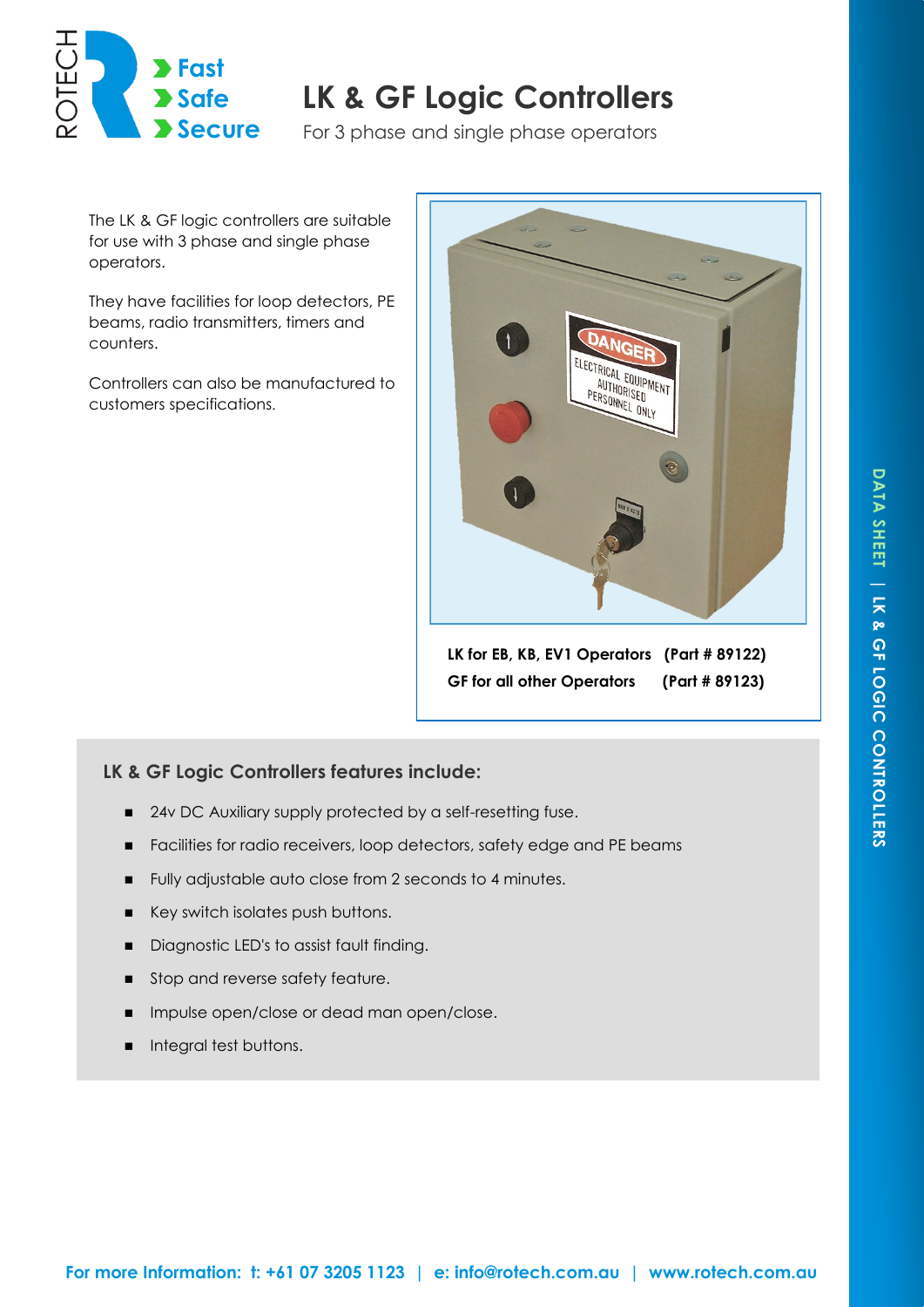

## **LK & GF Logic Controllers Safe**

**Secure** For 3 phase and single phase operators

The LK & GF logic controllers are suitable for use with 3 phase and single phase operators.

They have facilities for loop detectors, PE beams, radio transmitters, timers and counters.

Controllers can also be manufactured to customers specifications.



**LK for EB, KB, EV1 Operators (Part # 89122) GF for all other Operators (Part # 89123)**

## **LK & GF Logic Controllers features include:**

- 24v DC Auxiliary supply protected by a self-resetting fuse.
- Facilities for radio receivers, loop detectors, safety edge and PE beams
- Fully adjustable auto close from 2 seconds to 4 minutes.
- Key switch isolates push buttons.
- Diagnostic LED's to assist fault finding.
- Stop and reverse safety feature.
- **Impulse open/close or dead man open/close.**
- **Integral test buttons.**